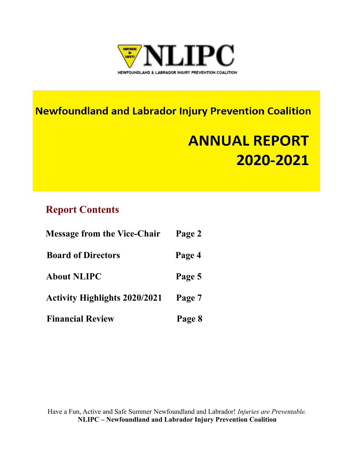

### **Newfoundland and Labrador Injury Prevention Coalition**

## **ANNUAL REPORT** 2020-2021

### **Report Contents**

| <b>Message from the Vice-Chair</b>   | Page 2 |
|--------------------------------------|--------|
| <b>Board of Directors</b>            | Page 4 |
| <b>About NLIPC</b>                   | Page 5 |
| <b>Activity Highlights 2020/2021</b> | Page 7 |
| <b>Financial Review</b>              | Page 8 |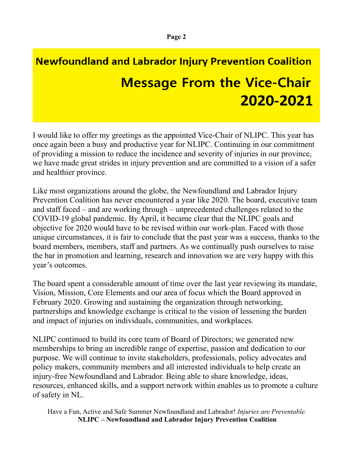## **Newfoundland and Labrador Injury Prevention Coalition Message From the Vice-Chair** 2020-2021

I would like to offer my greetings as the appointed Vice-Chair of NLIPC. This year has once again been a busy and productive year for NLIPC. Continuing in our commitment of providing a mission to reduce the incidence and severity of injuries in our province, we have made great strides in injury prevention and are committed to a vision of a safer and healthier province.

Like most organizations around the globe, the Newfoundland and Labrador Injury Prevention Coalition has never encountered a year like 2020. The board, executive team and staff faced – and are working through – unprecedented challenges related to the COVID-19 global pandemic. By April, it became clear that the NLIPC goals and objective for 2020 would have to be revised within our work-plan. Faced with those unique circumstances, it is fair to conclude that the past year was a success, thanks to the board members, members, staff and partners. As we continually push ourselves to raise the bar in promotion and learning, research and innovation we are very happy with this year's outcomes.

The board spent a considerable amount of time over the last year reviewing its mandate, Vision, Mission, Core Elements and our area of focus which the Board approved in February 2020. Growing and sustaining the organization through networking, partnerships and knowledge exchange is critical to the vision of lessening the burden and impact of injuries on individuals, communities, and workplaces.

NLIPC continued to build its core team of Board of Directors; we generated new memberships to bring an incredible range of expertise, passion and dedication to our purpose. We will continue to invite stakeholders, professionals, policy advocates and policy makers, community members and all interested individuals to help create an injury-free Newfoundland and Labrador. Being able to share knowledge, ideas, resources, enhanced skills, and a support network within enables us to promote a culture of safety in NL.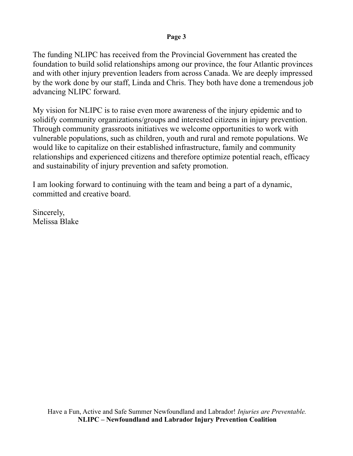#### **Page 3**

The funding NLIPC has received from the Provincial Government has created the foundation to build solid relationships among our province, the four Atlantic provinces and with other injury prevention leaders from across Canada. We are deeply impressed by the work done by our staff, Linda and Chris. They both have done a tremendous job advancing NLIPC forward.

My vision for NLIPC is to raise even more awareness of the injury epidemic and to solidify community organizations/groups and interested citizens in injury prevention. Through community grassroots initiatives we welcome opportunities to work with vulnerable populations, such as children, youth and rural and remote populations. We would like to capitalize on their established infrastructure, family and community relationships and experienced citizens and therefore optimize potential reach, efficacy and sustainability of injury prevention and safety promotion.

I am looking forward to continuing with the team and being a part of a dynamic, committed and creative board.

Sincerely, Melissa Blake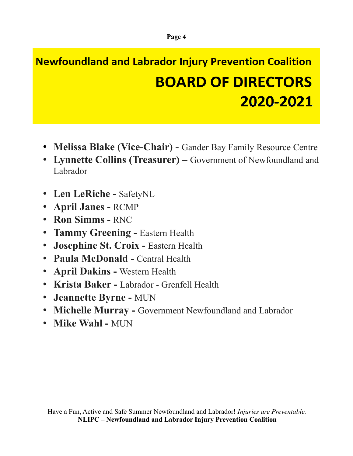### **Newfoundland and Labrador Injury Prevention Coalition BOARD OF DIRECTORS** 2020-2021

- **Melissa Blake (Vice-Chair)** Gander Bay Family Resource Centre
- **Lynnette Collins (Treasurer)** Government of Newfoundland and Labrador
- **Len LeRiche** SafetyNL
- **April Janes** RCMP
- **Ron Simms** RNC
- **Tammy Greening** Eastern Health
- **Josephine St. Croix** Eastern Health
- **Paula McDonald** Central Health
- **April Dakins** Western Health
- **Krista Baker** Labrador Grenfell Health
- **Jeannette Byrne** MUN
- **Michelle Murray** Government Newfoundland and Labrador
- **Mike Wahl** MUN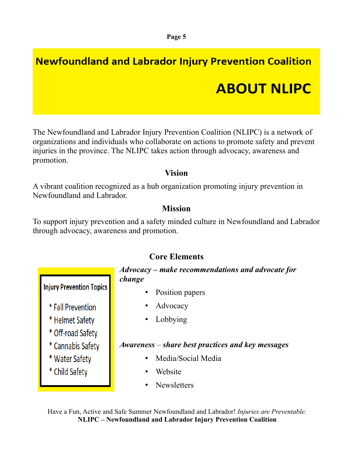# **Newfoundland and Labrador Injury Prevention Coalition ABOUT NLIPC**

The Newfoundland and Labrador Injury Prevention Coalition (NLIPC) is a network of organizations and individuals who collaborate on actions to promote safety and prevent injuries in the province. The NLIPC takes action through advocacy, awareness and promotion.

#### **Vision**

A vibrant coalition recognized as a hub organization promoting injury prevention in Newfoundland and Labrador.

### **Mission**

To support injury prevention and a safety minded culture in Newfoundland and Labrador through advocacy, awareness and promotion.



### **Core Elements**

*Advocacy* **–** *make recommendations and advocate for change*

- Position papers
- Advocacy
- Lobbying

### *Awareness* – *share best practices and key messages*

- Media/Social Media
- Website
- **Newsletters**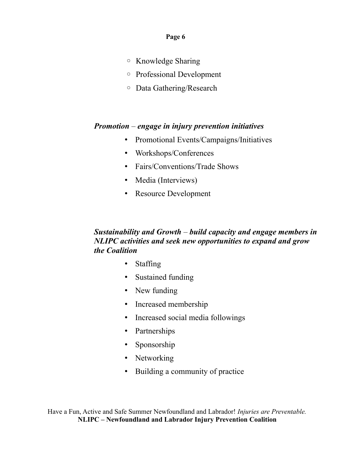#### **Page 6**

- Knowledge Sharing
- Professional Development
- Data Gathering/Research

#### *Promotion* – *engage in injury prevention initiatives*

- Promotional Events/Campaigns/Initiatives
- Workshops/Conferences
- Fairs/Conventions/Trade Shows
- Media (Interviews)
- Resource Development

#### *Sustainability and Growth* – *build capacity and engage members in NLIPC activities and seek new opportunities to expand and grow the Coalition*

- Staffing
- Sustained funding
- New funding
- Increased membership
- Increased social media followings
- Partnerships
- Sponsorship
- Networking
- Building a community of practice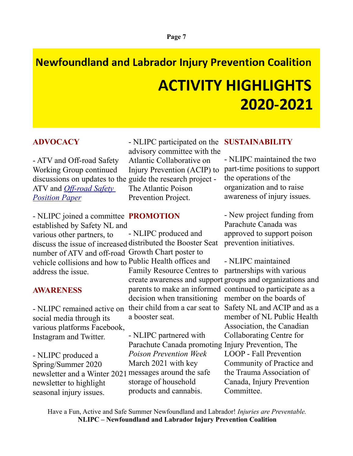# **Newfoundland and Labrador Injury Prevention Coalition ACTIVITY HIGHLIGHTS** 2020-2021

#### **ADVOCACY**

- ATV and Off-road Safety Working Group continued ATV and *[Off-road Safety](https://documentcloud.adobe.com/link/track?uri=urn:aaid:scds:US:8c1e2257-f3a8-4854-9bff-d15b91c49d48#pageNum=1)  [Position Paper](https://documentcloud.adobe.com/link/track?uri=urn:aaid:scds:US:8c1e2257-f3a8-4854-9bff-d15b91c49d48#pageNum=1)*

- NLIPC joined a committee **PROMOTION**  established by Safety NL and

various other partners, to number of ATV and off-road Growth Chart poster to vehicle collisions and how to Public Health offices and address the issue.

#### **AWARENESS**

social media through its various platforms Facebook, Instagram and Twitter.

- NLIPC produced a Spring/Summer 2020 newsletter and a Winter 2021 messages around the safe newsletter to highlight seasonal injury issues.

discussions on updates to the guide the research project - - NLIPC participated on the **SUSTAINABILITY** advisory committee with the Atlantic Collaborative on Injury Prevention (ACIP) to The Atlantic Poison Prevention Project.

discuss the issue of increased distributed the Booster Seat - NLIPC remained active on their child from a car seat to Safety NL and ACIP and as a - NLIPC produced and Family Resource Centres to parents to make an informed continued to participate as a decision when transitioning a booster seat.

> - NLIPC partnered with Parachute Canada promoting Injury Prevention, The *Poison Prevention Week* March 2021 with key storage of household products and cannabis.

- NLIPC maintained the two part-time positions to support the operations of the organization and to raise awareness of injury issues.

- New project funding from Parachute Canada was approved to support poison prevention initiatives.

create awareness and support groups and organizations and - NLIPC maintained partnerships with various member on the boards of member of NL Public Health Association, the Canadian Collaborating Centre for LOOP - Fall Prevention Community of Practice and the Trauma Association of Canada, Injury Prevention Committee.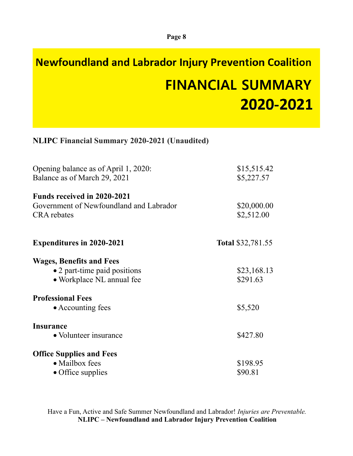# **Newfoundland and Labrador Injury Prevention Coalition FINANCIAL SUMMARY** 2020-2021

#### **NLIPC Financial Summary 2020-2021 (Unaudited)**

| Opening balance as of April 1, 2020:<br>Balance as of March 29, 2021          | \$15,515.42<br>\$5,227.57 |
|-------------------------------------------------------------------------------|---------------------------|
| <b>Funds received in 2020-2021</b><br>Government of Newfoundland and Labrador | \$20,000.00               |
| <b>CRA</b> rebates                                                            | \$2,512.00                |
| <b>Expenditures in 2020-2021</b>                                              | <b>Total \$32,781.55</b>  |
| <b>Wages, Benefits and Fees</b>                                               |                           |
| • 2 part-time paid positions                                                  | \$23,168.13               |
| · Workplace NL annual fee                                                     | \$291.63                  |
| <b>Professional Fees</b>                                                      |                           |
| • Accounting fees                                                             | \$5,520                   |
| <b>Insurance</b>                                                              |                           |
| • Volunteer insurance                                                         | \$427.80                  |
| <b>Office Supplies and Fees</b>                                               |                           |
| • Mailbox fees                                                                | \$198.95                  |
| $\bullet$ Office supplies                                                     | \$90.81                   |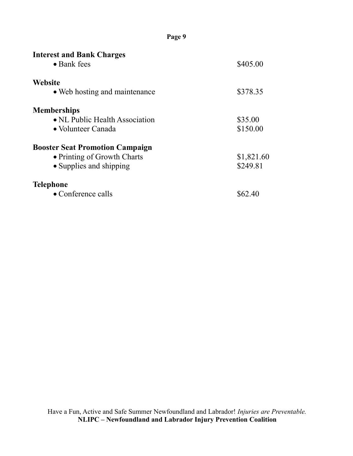| <b>Interest and Bank Charges</b><br>$\bullet$ Bank fees                                          | \$405.00               |
|--------------------------------------------------------------------------------------------------|------------------------|
| <b>Website</b><br>• Web hosting and maintenance                                                  | \$378.35               |
| <b>Memberships</b><br>• NL Public Health Association<br>• Volunteer Canada                       | \$35.00<br>\$150.00    |
| <b>Booster Seat Promotion Campaign</b><br>• Printing of Growth Charts<br>• Supplies and shipping | \$1,821.60<br>\$249.81 |
| <b>Telephone</b><br>$\bullet$ Conference calls                                                   | \$62.40                |

**Page 9**